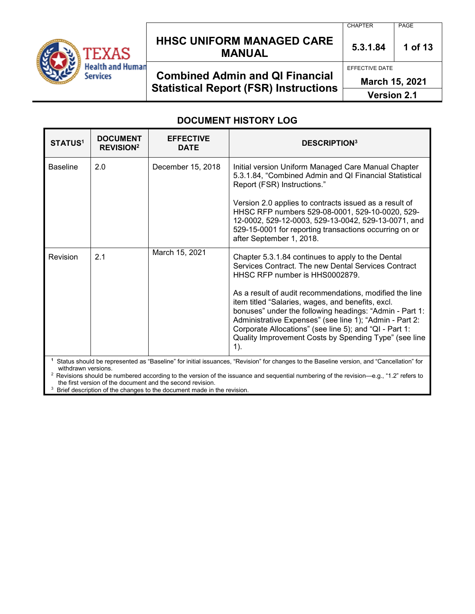

## **HHSC UNIFORM MANAGED CARE MANUAL 5.3.1.84 <sup>1</sup> of 13**

CHAPTER PAGE

## **Combined Admin and QI Financial Statistical Report (FSR) Instructions**

EFFECTIVE DATE

**March 15, 2021**

**Version 2.1**

### **DOCUMENT HISTORY LOG**

| <b>STATUS1</b>  | <b>DOCUMENT</b><br><b>REVISION<sup>2</sup></b> | <b>EFFECTIVE</b><br><b>DATE</b> | <b>DESCRIPTION3</b>                                                                                                                                                                                                                                                                                                                                             |
|-----------------|------------------------------------------------|---------------------------------|-----------------------------------------------------------------------------------------------------------------------------------------------------------------------------------------------------------------------------------------------------------------------------------------------------------------------------------------------------------------|
| <b>Baseline</b> | 2.0                                            | December 15, 2018               | Initial version Uniform Managed Care Manual Chapter<br>5.3.1.84, "Combined Admin and QI Financial Statistical<br>Report (FSR) Instructions."<br>Version 2.0 applies to contracts issued as a result of<br>HHSC RFP numbers 529-08-0001, 529-10-0020, 529-<br>12-0002, 529-12-0003, 529-13-0042, 529-13-0071, and                                                |
|                 |                                                |                                 | 529-15-0001 for reporting transactions occurring on or<br>after September 1, 2018.                                                                                                                                                                                                                                                                              |
| Revision        | 2.1                                            | March 15, 2021                  | Chapter 5.3.1.84 continues to apply to the Dental<br>Services Contract. The new Dental Services Contract<br>HHSC RFP number is HHS0002879.                                                                                                                                                                                                                      |
|                 |                                                |                                 | As a result of audit recommendations, modified the line<br>item titled "Salaries, wages, and benefits, excl.<br>bonuses" under the following headings: "Admin - Part 1:<br>Administrative Expenses" (see line 1); "Admin - Part 2:<br>Corporate Allocations" (see line 5); and "QI - Part 1:<br>Quality Improvement Costs by Spending Type" (see line<br>$1$ ). |
|                 |                                                |                                 |                                                                                                                                                                                                                                                                                                                                                                 |

**1** Status should be represented as "Baseline" for initial issuances, "Revision" for changes to the Baseline version, and "Cancellation" for withdrawn versions.

2 Revisions should be numbered according to the version of the issuance and sequential numbering of the revision—e.g., "1.2" refers to the first version of the document and the second revision.

 $3$  Brief description of the changes to the document made in the revision.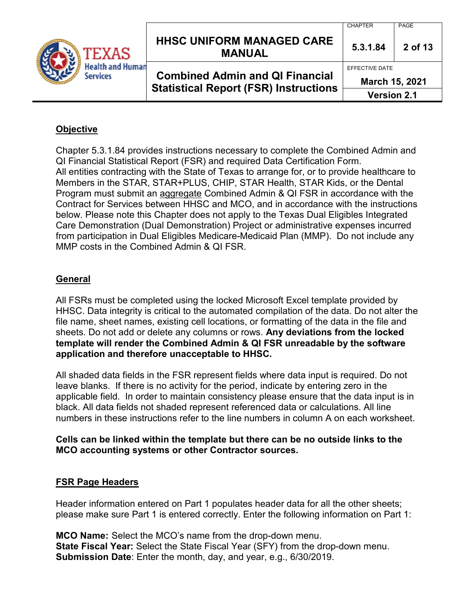**lealth and Human** 

### **HHSC UNIFORM MANAGED CARE MANUAL 5.3.1.84 <sup>2</sup> of 13**

**Combined Admin and QI Financial Statistical Report (FSR) Instructions** CHAPTER PAGE

EFFECTIVE DATE

**March 15, 2021**

### **Version 2.1**

### **Objective**

Chapter 5.3.1.84 provides instructions necessary to complete the Combined Admin and QI Financial Statistical Report (FSR) and required Data Certification Form. All entities contracting with the State of Texas to arrange for, or to provide healthcare to Members in the STAR, STAR+PLUS, CHIP, STAR Health, STAR Kids, or the Dental Program must submit an aggregate Combined Admin & QI FSR in accordance with the Contract for Services between HHSC and MCO, and in accordance with the instructions below. Please note this Chapter does not apply to the Texas Dual Eligibles Integrated Care Demonstration (Dual Demonstration) Project or administrative expenses incurred from participation in Dual Eligibles Medicare-Medicaid Plan (MMP). Do not include any MMP costs in the Combined Admin & QI FSR.

### **General**

All FSRs must be completed using the locked Microsoft Excel template provided by HHSC. Data integrity is critical to the automated compilation of the data. Do not alter the file name, sheet names, existing cell locations, or formatting of the data in the file and sheets. Do not add or delete any columns or rows. **Any deviations from the locked template will render the Combined Admin & QI FSR unreadable by the software application and therefore unacceptable to HHSC.**

All shaded data fields in the FSR represent fields where data input is required. Do not leave blanks. If there is no activity for the period, indicate by entering zero in the applicable field. In order to maintain consistency please ensure that the data input is in black. All data fields not shaded represent referenced data or calculations. All line numbers in these instructions refer to the line numbers in column A on each worksheet.

### **Cells can be linked within the template but there can be no outside links to the MCO accounting systems or other Contractor sources.**

#### **FSR Page Headers**

Header information entered on Part 1 populates header data for all the other sheets; please make sure Part 1 is entered correctly. Enter the following information on Part 1:

**MCO Name:** Select the MCO's name from the drop-down menu. **State Fiscal Year:** Select the State Fiscal Year (SFY) from the drop-down menu. **Submission Date**: Enter the month, day, and year, e.g., 6/30/2019.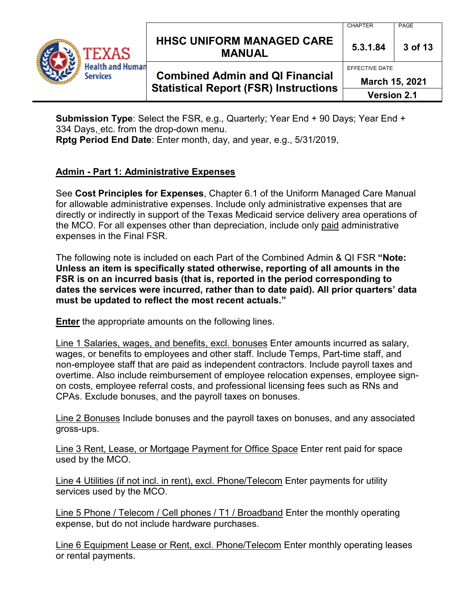**lealth and Human** 

## **HHSC UNIFORM MANAGED CARE MANUAL 5.3.1.84 <sup>3</sup> of 13**

## **Combined Admin and QI Financial Statistical Report (FSR) Instructions**

EFFECTIVE DATE

CHAPTER PAGE

**March 15, 2021**

**Version 2.1**

**Submission Type**: Select the FSR, e.g., Quarterly; Year End + 90 Days; Year End + 334 Days, etc. from the drop-down menu. **Rptg Period End Date**: Enter month, day, and year, e.g., 5/31/2019,

### **Admin - Part 1: Administrative Expenses**

See **Cost Principles for Expenses**, Chapter 6.1 of the Uniform Managed Care Manual for allowable administrative expenses. Include only administrative expenses that are directly or indirectly in support of the Texas Medicaid service delivery area operations of the MCO. For all expenses other than depreciation, include only paid administrative expenses in the Final FSR.

The following note is included on each Part of the Combined Admin & QI FSR **"Note: Unless an item is specifically stated otherwise, reporting of all amounts in the FSR is on an incurred basis (that is, reported in the period corresponding to dates the services were incurred, rather than to date paid). All prior quarters' data must be updated to reflect the most recent actuals."** 

**Enter** the appropriate amounts on the following lines.

Line 1 Salaries, wages, and benefits, excl. bonuses Enter amounts incurred as salary, wages, or benefits to employees and other staff. Include Temps, Part-time staff, and non-employee staff that are paid as independent contractors. Include payroll taxes and overtime. Also include reimbursement of employee relocation expenses, employee signon costs, employee referral costs, and professional licensing fees such as RNs and CPAs. Exclude bonuses, and the payroll taxes on bonuses.

Line 2 Bonuses Include bonuses and the payroll taxes on bonuses, and any associated gross-ups.

Line 3 Rent, Lease, or Mortgage Payment for Office Space Enter rent paid for space used by the MCO.

Line 4 Utilities (if not incl. in rent), excl. Phone/Telecom Enter payments for utility services used by the MCO.

Line 5 Phone / Telecom / Cell phones / T1 / Broadband Enter the monthly operating expense, but do not include hardware purchases.

Line 6 Equipment Lease or Rent, excl. Phone/Telecom Enter monthly operating leases or rental payments.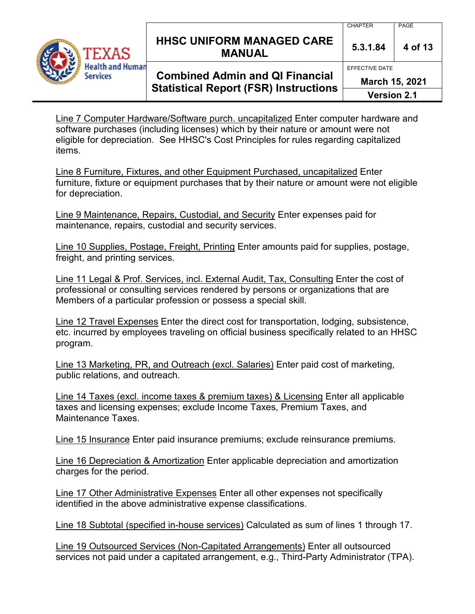

## **HHSC UNIFORM MANAGED CARE MANUAL** 5.3.1.84 4 of 13

# **Combined Admin and QI Financial Statistical Report (FSR) Instructions**

EFFECTIVE DATE

**March 15, 2021**

**Version 2.1**

Line 7 Computer Hardware/Software purch. uncapitalized Enter computer hardware and software purchases (including licenses) which by their nature or amount were not eligible for depreciation. See HHSC's Cost Principles for rules regarding capitalized items.

Line 8 Furniture, Fixtures, and other Equipment Purchased, uncapitalized Enter furniture, fixture or equipment purchases that by their nature or amount were not eligible for depreciation.

Line 9 Maintenance, Repairs, Custodial, and Security Enter expenses paid for maintenance, repairs, custodial and security services.

Line 10 Supplies, Postage, Freight, Printing Enter amounts paid for supplies, postage, freight, and printing services.

Line 11 Legal & Prof. Services, incl. External Audit, Tax, Consulting Enter the cost of professional or consulting services rendered by persons or organizations that are Members of a particular profession or possess a special skill.

Line 12 Travel Expenses Enter the direct cost for transportation, lodging, subsistence, etc. incurred by employees traveling on official business specifically related to an HHSC program.

Line 13 Marketing, PR, and Outreach (excl. Salaries) Enter paid cost of marketing, public relations, and outreach.

Line 14 Taxes (excl. income taxes & premium taxes) & Licensing Enter all applicable taxes and licensing expenses; exclude Income Taxes, Premium Taxes, and Maintenance Taxes.

Line 15 Insurance Enter paid insurance premiums; exclude reinsurance premiums.

Line 16 Depreciation & Amortization Enter applicable depreciation and amortization charges for the period.

Line 17 Other Administrative Expenses Enter all other expenses not specifically identified in the above administrative expense classifications.

Line 18 Subtotal (specified in-house services) Calculated as sum of lines 1 through 17.

Line 19 Outsourced Services (Non-Capitated Arrangements) Enter all outsourced services not paid under a capitated arrangement, e.g., Third-Party Administrator (TPA).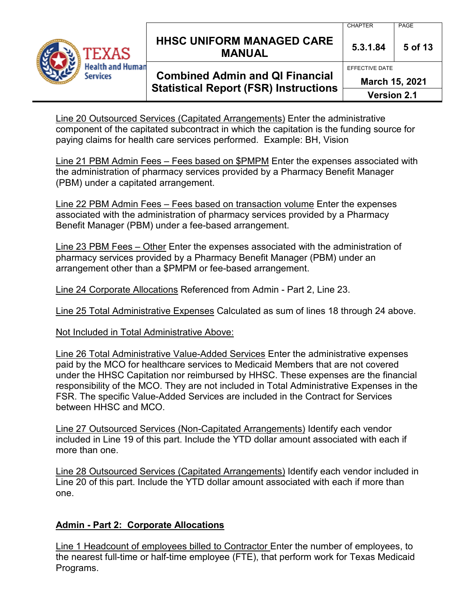

## **HHSC UNIFORM MANAGED CARE MANUAL 5.3.1.84 <sup>5</sup> of 13**

#### CHAPTER PAGE

# **Combined Admin and QI Financial Statistical Report (FSR) Instructions**

EFFECTIVE DATE

**March 15, 2021**

**Version 2.1**

Line 20 Outsourced Services (Capitated Arrangements) Enter the administrative component of the capitated subcontract in which the capitation is the funding source for paying claims for health care services performed. Example: BH, Vision

Line 21 PBM Admin Fees – Fees based on \$PMPM Enter the expenses associated with the administration of pharmacy services provided by a Pharmacy Benefit Manager (PBM) under a capitated arrangement.

Line 22 PBM Admin Fees – Fees based on transaction volume Enter the expenses associated with the administration of pharmacy services provided by a Pharmacy Benefit Manager (PBM) under a fee-based arrangement.

Line 23 PBM Fees – Other Enter the expenses associated with the administration of pharmacy services provided by a Pharmacy Benefit Manager (PBM) under an arrangement other than a \$PMPM or fee-based arrangement.

Line 24 Corporate Allocations Referenced from Admin - Part 2, Line 23.

Line 25 Total Administrative Expenses Calculated as sum of lines 18 through 24 above.

Not Included in Total Administrative Above:

Line 26 Total Administrative Value-Added Services Enter the administrative expenses paid by the MCO for healthcare services to Medicaid Members that are not covered under the HHSC Capitation nor reimbursed by HHSC. These expenses are the financial responsibility of the MCO. They are not included in Total Administrative Expenses in the FSR. The specific Value-Added Services are included in the Contract for Services between HHSC and MCO.

Line 27 Outsourced Services (Non-Capitated Arrangements) Identify each vendor included in Line 19 of this part. Include the YTD dollar amount associated with each if more than one.

Line 28 Outsourced Services (Capitated Arrangements) Identify each vendor included in Line 20 of this part. Include the YTD dollar amount associated with each if more than one.

### **Admin - Part 2: Corporate Allocations**

Line 1 Headcount of employees billed to Contractor Enter the number of employees, to the nearest full-time or half-time employee (FTE), that perform work for Texas Medicaid Programs.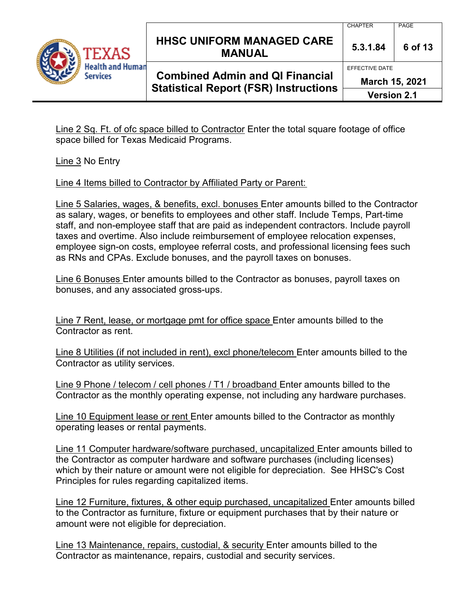

## **HHSC UNIFORM MANAGED CARE MANUAL 5.3.1.84 <sup>6</sup> of 13**

#### CHAPTER PAGE

# **Combined Admin and QI Financial Statistical Report (FSR) Instructions**

EFFECTIVE DATE

**March 15, 2021**

**Version 2.1**

Line 2 Sq. Ft. of ofc space billed to Contractor Enter the total square footage of office space billed for Texas Medicaid Programs.

Line 3 No Entry

Line 4 Items billed to Contractor by Affiliated Party or Parent:

Line 5 Salaries, wages, & benefits, excl. bonuses Enter amounts billed to the Contractor as salary, wages, or benefits to employees and other staff. Include Temps, Part-time staff, and non-employee staff that are paid as independent contractors. Include payroll taxes and overtime. Also include reimbursement of employee relocation expenses, employee sign-on costs, employee referral costs, and professional licensing fees such as RNs and CPAs. Exclude bonuses, and the payroll taxes on bonuses.

Line 6 Bonuses Enter amounts billed to the Contractor as bonuses, payroll taxes on bonuses, and any associated gross-ups.

Line 7 Rent, lease, or mortgage pmt for office space Enter amounts billed to the Contractor as rent.

Line 8 Utilities (if not included in rent), excl phone/telecom Enter amounts billed to the Contractor as utility services.

Line 9 Phone / telecom / cell phones / T1 / broadband Enter amounts billed to the Contractor as the monthly operating expense, not including any hardware purchases.

Line 10 Equipment lease or rent Enter amounts billed to the Contractor as monthly operating leases or rental payments.

Line 11 Computer hardware/software purchased, uncapitalized Enter amounts billed to the Contractor as computer hardware and software purchases (including licenses) which by their nature or amount were not eligible for depreciation. See HHSC's Cost Principles for rules regarding capitalized items.

Line 12 Furniture, fixtures, & other equip purchased, uncapitalized Enter amounts billed to the Contractor as furniture, fixture or equipment purchases that by their nature or amount were not eligible for depreciation.

Line 13 Maintenance, repairs, custodial, & security Enter amounts billed to the Contractor as maintenance, repairs, custodial and security services.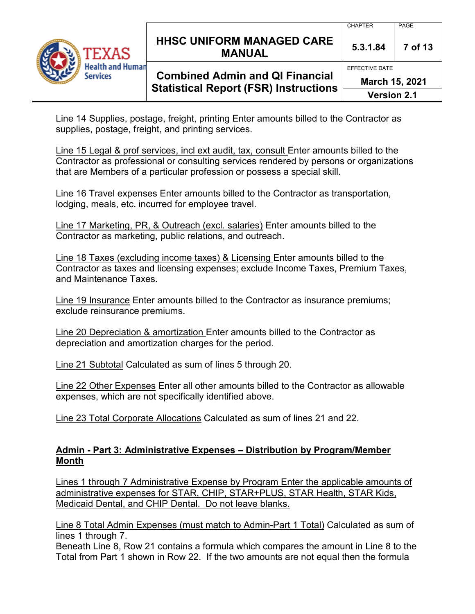

## **HHSC UNIFORM MANAGED CARE MANUAL 5.3.1.84 <sup>7</sup> of 13**

## **Combined Admin and QI Financial Statistical Report (FSR) Instructions**

EFFECTIVE DATE

**March 15, 2021**

**Version 2.1**

Line 14 Supplies, postage, freight, printing Enter amounts billed to the Contractor as supplies, postage, freight, and printing services.

Line 15 Legal & prof services, incl ext audit, tax, consult Enter amounts billed to the Contractor as professional or consulting services rendered by persons or organizations that are Members of a particular profession or possess a special skill.

Line 16 Travel expenses Enter amounts billed to the Contractor as transportation, lodging, meals, etc. incurred for employee travel.

Line 17 Marketing, PR, & Outreach (excl. salaries) Enter amounts billed to the Contractor as marketing, public relations, and outreach.

Line 18 Taxes (excluding income taxes) & Licensing Enter amounts billed to the Contractor as taxes and licensing expenses; exclude Income Taxes, Premium Taxes, and Maintenance Taxes.

Line 19 Insurance Enter amounts billed to the Contractor as insurance premiums; exclude reinsurance premiums.

Line 20 Depreciation & amortization Enter amounts billed to the Contractor as depreciation and amortization charges for the period.

Line 21 Subtotal Calculated as sum of lines 5 through 20.

Line 22 Other Expenses Enter all other amounts billed to the Contractor as allowable expenses, which are not specifically identified above.

Line 23 Total Corporate Allocations Calculated as sum of lines 21 and 22.

### **Admin - Part 3: Administrative Expenses – Distribution by Program/Member Month**

Lines 1 through 7 Administrative Expense by Program Enter the applicable amounts of administrative expenses for STAR, CHIP, STAR+PLUS, STAR Health, STAR Kids, Medicaid Dental, and CHIP Dental. Do not leave blanks.

Line 8 Total Admin Expenses (must match to Admin-Part 1 Total) Calculated as sum of lines 1 through 7.

Beneath Line 8, Row 21 contains a formula which compares the amount in Line 8 to the Total from Part 1 shown in Row 22. If the two amounts are not equal then the formula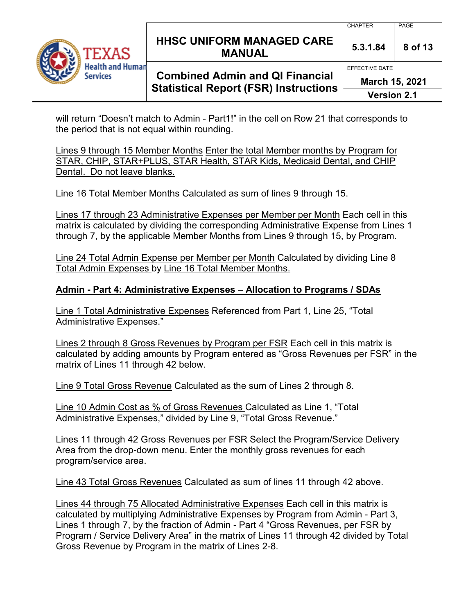

## **HHSC UNIFORM MANAGED CARE MANUAL 5.3.1.84 <sup>8</sup> of 13**

#### CHAPTER PAGE

EFFECTIVE DATE

## **Combined Admin and QI Financial Statistical Report (FSR) Instructions**

**March 15, 2021**

**Version 2.1**

will return "Doesn't match to Admin - Part1!" in the cell on Row 21 that corresponds to the period that is not equal within rounding.

Lines 9 through 15 Member Months Enter the total Member months by Program for STAR, CHIP, STAR+PLUS, STAR Health, STAR Kids, Medicaid Dental, and CHIP Dental. Do not leave blanks.

Line 16 Total Member Months Calculated as sum of lines 9 through 15.

Lines 17 through 23 Administrative Expenses per Member per Month Each cell in this matrix is calculated by dividing the corresponding Administrative Expense from Lines 1 through 7, by the applicable Member Months from Lines 9 through 15, by Program.

Line 24 Total Admin Expense per Member per Month Calculated by dividing Line 8 Total Admin Expenses by Line 16 Total Member Months.

### **Admin - Part 4: Administrative Expenses – Allocation to Programs / SDAs**

Line 1 Total Administrative Expenses Referenced from Part 1, Line 25, "Total Administrative Expenses."

Lines 2 through 8 Gross Revenues by Program per FSR Each cell in this matrix is calculated by adding amounts by Program entered as "Gross Revenues per FSR" in the matrix of Lines 11 through 42 below.

Line 9 Total Gross Revenue Calculated as the sum of Lines 2 through 8.

Line 10 Admin Cost as % of Gross Revenues Calculated as Line 1, "Total Administrative Expenses," divided by Line 9, "Total Gross Revenue."

Lines 11 through 42 Gross Revenues per FSR Select the Program/Service Delivery Area from the drop-down menu. Enter the monthly gross revenues for each program/service area.

Line 43 Total Gross Revenues Calculated as sum of lines 11 through 42 above.

Lines 44 through 75 Allocated Administrative Expenses Each cell in this matrix is calculated by multiplying Administrative Expenses by Program from Admin - Part 3, Lines 1 through 7, by the fraction of Admin - Part 4 "Gross Revenues, per FSR by Program / Service Delivery Area" in the matrix of Lines 11 through 42 divided by Total Gross Revenue by Program in the matrix of Lines 2-8.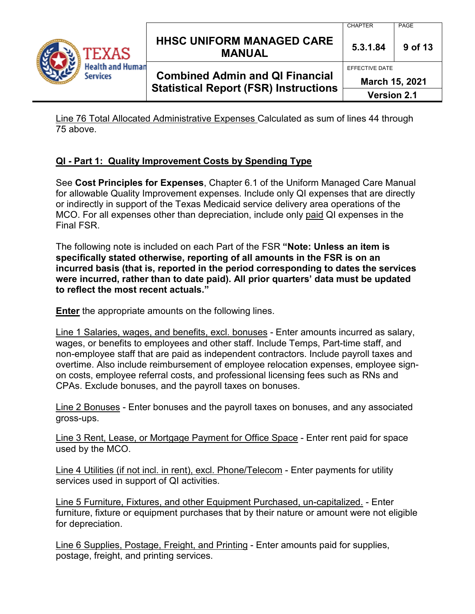

## **HHSC UNIFORM MANAGED CARE MANUAL 5.3.1.84 <sup>9</sup> of 13**

## **Combined Admin and QI Financial Statistical Report (FSR) Instructions**

CHAPTER PAGE

EFFECTIVE DATE

**March 15, 2021**

**Version 2.1**

Line 76 Total Allocated Administrative Expenses Calculated as sum of lines 44 through 75 above.

### **QI - Part 1: Quality Improvement Costs by Spending Type**

See **Cost Principles for Expenses**, Chapter 6.1 of the Uniform Managed Care Manual for allowable Quality Improvement expenses. Include only QI expenses that are directly or indirectly in support of the Texas Medicaid service delivery area operations of the MCO. For all expenses other than depreciation, include only paid QI expenses in the Final FSR.

The following note is included on each Part of the FSR **"Note: Unless an item is specifically stated otherwise, reporting of all amounts in the FSR is on an incurred basis (that is, reported in the period corresponding to dates the services were incurred, rather than to date paid). All prior quarters' data must be updated to reflect the most recent actuals."** 

**Enter** the appropriate amounts on the following lines.

Line 1 Salaries, wages, and benefits, excl. bonuses - Enter amounts incurred as salary, wages, or benefits to employees and other staff. Include Temps, Part-time staff, and non-employee staff that are paid as independent contractors. Include payroll taxes and overtime. Also include reimbursement of employee relocation expenses, employee signon costs, employee referral costs, and professional licensing fees such as RNs and CPAs. Exclude bonuses, and the payroll taxes on bonuses.

Line 2 Bonuses - Enter bonuses and the payroll taxes on bonuses, and any associated gross-ups.

Line 3 Rent, Lease, or Mortgage Payment for Office Space - Enter rent paid for space used by the MCO.

Line 4 Utilities (if not incl. in rent), excl. Phone/Telecom - Enter payments for utility services used in support of QI activities.

Line 5 Furniture, Fixtures, and other Equipment Purchased, un-capitalized. - Enter furniture, fixture or equipment purchases that by their nature or amount were not eligible for depreciation.

Line 6 Supplies, Postage, Freight, and Printing - Enter amounts paid for supplies, postage, freight, and printing services.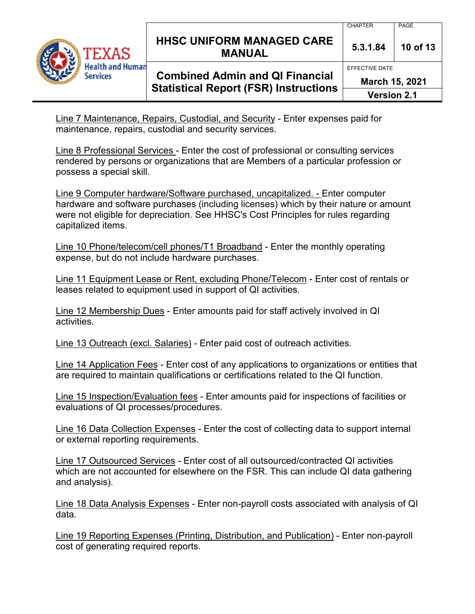

## **HHSC UNIFORM MANAGED CARE MANUAL 5.3.1.84 <sup>10</sup> of 13**

## **Combined Admin and QI Financial Statistical Report (FSR) Instructions**

CHAPTER PAGE

EFFECTIVE DATE

**March 15, 2021**

**Version 2.1**

Line 7 Maintenance, Repairs, Custodial, and Security - Enter expenses paid for maintenance, repairs, custodial and security services.

Line 8 Professional Services - Enter the cost of professional or consulting services rendered by persons or organizations that are Members of a particular profession or possess a special skill.

Line 9 Computer hardware/Software purchased, uncapitalized. - Enter computer hardware and software purchases (including licenses) which by their nature or amount were not eligible for depreciation. See HHSC's Cost Principles for rules regarding capitalized items.

Line 10 Phone/telecom/cell phones/T1 Broadband - Enter the monthly operating expense, but do not include hardware purchases.

Line 11 Equipment Lease or Rent, excluding Phone/Telecom - Enter cost of rentals or leases related to equipment used in support of QI activities.

Line 12 Membership Dues - Enter amounts paid for staff actively involved in QI activities.

Line 13 Outreach (excl. Salaries) - Enter paid cost of outreach activities.

Line 14 Application Fees - Enter cost of any applications to organizations or entities that are required to maintain qualifications or certifications related to the QI function.

Line 15 Inspection/Evaluation fees - Enter amounts paid for inspections of facilities or evaluations of QI processes/procedures.

Line 16 Data Collection Expenses - Enter the cost of collecting data to support internal or external reporting requirements.

Line 17 Outsourced Services - Enter cost of all outsourced/contracted QI activities which are not accounted for elsewhere on the FSR. This can include QI data gathering and analysis).

Line 18 Data Analysis Expenses - Enter non-payroll costs associated with analysis of QI data.

Line 19 Reporting Expenses (Printing, Distribution, and Publication) - Enter non-payroll cost of generating required reports.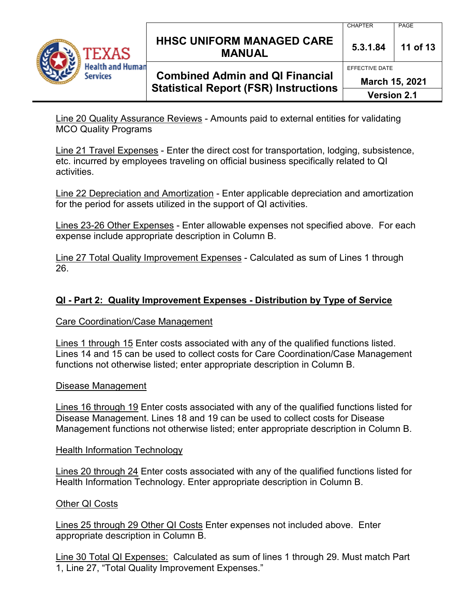

### **HHSC UNIFORM MANAGED CARE MANUAL 5.3.1.84 <sup>11</sup> of 13**

## **Combined Admin and QI Financial Statistical Report (FSR) Instructions**

CHAPTER PAGE

EFFECTIVE DATE

**March 15, 2021**

**Version 2.1**

Line 20 Quality Assurance Reviews - Amounts paid to external entities for validating MCO Quality Programs

Line 21 Travel Expenses - Enter the direct cost for transportation, lodging, subsistence, etc. incurred by employees traveling on official business specifically related to QI activities.

Line 22 Depreciation and Amortization - Enter applicable depreciation and amortization for the period for assets utilized in the support of QI activities.

Lines 23-26 Other Expenses - Enter allowable expenses not specified above. For each expense include appropriate description in Column B.

Line 27 Total Quality Improvement Expenses - Calculated as sum of Lines 1 through 26.

### **QI - Part 2: Quality Improvement Expenses - Distribution by Type of Service**

#### Care Coordination/Case Management

Lines 1 through 15 Enter costs associated with any of the qualified functions listed. Lines 14 and 15 can be used to collect costs for Care Coordination/Case Management functions not otherwise listed; enter appropriate description in Column B.

#### Disease Management

Lines 16 through 19 Enter costs associated with any of the qualified functions listed for Disease Management. Lines 18 and 19 can be used to collect costs for Disease Management functions not otherwise listed; enter appropriate description in Column B.

#### Health Information Technology

Lines 20 through 24 Enter costs associated with any of the qualified functions listed for Health Information Technology. Enter appropriate description in Column B.

### Other QI Costs

Lines 25 through 29 Other QI Costs Enter expenses not included above. Enter appropriate description in Column B.

Line 30 Total QI Expenses: Calculated as sum of lines 1 through 29. Must match Part 1, Line 27, "Total Quality Improvement Expenses."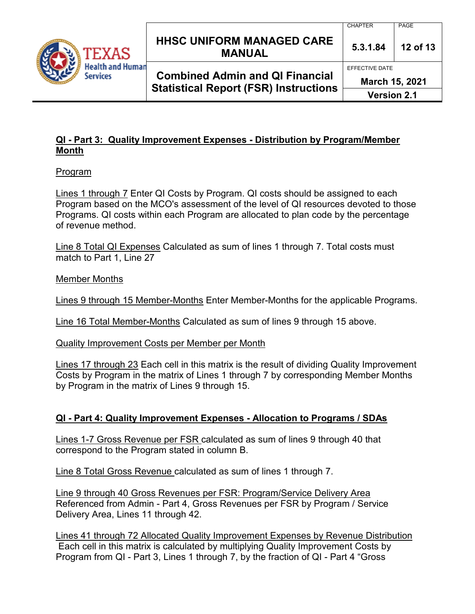

## **HHSC UNIFORM MANAGED CARE MANUAL 5.3.1.84 <sup>12</sup> of 13**

**Combined Admin and QI Financial Statistical Report (FSR) Instructions**

EFFECTIVE DATE

**March 15, 2021**

**Version 2.1**

### **QI - Part 3: Quality Improvement Expenses - Distribution by Program/Member Month**

### Program

Lines 1 through 7 Enter QI Costs by Program. QI costs should be assigned to each Program based on the MCO's assessment of the level of QI resources devoted to those Programs. QI costs within each Program are allocated to plan code by the percentage of revenue method.

Line 8 Total QI Expenses Calculated as sum of lines 1 through 7. Total costs must match to Part 1, Line 27

Member Months

Lines 9 through 15 Member-Months Enter Member-Months for the applicable Programs.

Line 16 Total Member-Months Calculated as sum of lines 9 through 15 above.

Quality Improvement Costs per Member per Month

Lines 17 through 23 Each cell in this matrix is the result of dividing Quality Improvement Costs by Program in the matrix of Lines 1 through 7 by corresponding Member Months by Program in the matrix of Lines 9 through 15.

## **QI - Part 4: Quality Improvement Expenses - Allocation to Programs / SDAs**

Lines 1-7 Gross Revenue per FSR calculated as sum of lines 9 through 40 that correspond to the Program stated in column B.

Line 8 Total Gross Revenue calculated as sum of lines 1 through 7.

Line 9 through 40 Gross Revenues per FSR: Program/Service Delivery Area Referenced from Admin - Part 4, Gross Revenues per FSR by Program / Service Delivery Area, Lines 11 through 42.

Lines 41 through 72 Allocated Quality Improvement Expenses by Revenue Distribution Each cell in this matrix is calculated by multiplying Quality Improvement Costs by Program from QI - Part 3, Lines 1 through 7, by the fraction of QI - Part 4 "Gross